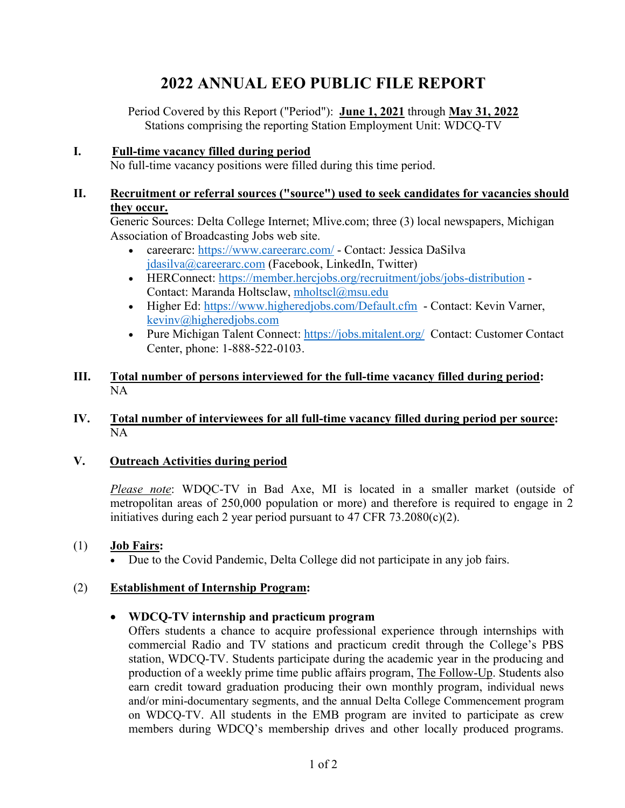# **2022 ANNUAL EEO PUBLIC FILE REPORT**

Period Covered by this Report ("Period"): **June 1, 2021** through **May 31, 2022** Stations comprising the reporting Station Employment Unit: WDCQ-TV

## **I. Full-time vacancy filled during period**

No full-time vacancy positions were filled during this time period.

#### **II. Recruitment or referral sources ("source") used to seek candidates for vacancies should they occur.**

Generic Sources: Delta College Internet; Mlive.com; three (3) local newspapers, Michigan Association of Broadcasting Jobs web site.

- careerarc:<https://www.careerarc.com/> Contact: Jessica DaSilva [jdasilva@careerarc.com](mailto:jdasilva@careerarc.com) (Facebook, LinkedIn, Twitter)
- HERConnect:<https://member.hercjobs.org/recruitment/jobs/jobs-distribution> -Contact: Maranda Holtsclaw, [mholtscl@msu.edu](mailto:mholtscl@msu.edu)
- Higher Ed:<https://www.higheredjobs.com/Default.cfm> Contact: Kevin Varner, [kevinv@higheredjobs.com](mailto:kevinv@higheredjobs.com)
- Pure Michigan Talent Connect:<https://jobs.mitalent.org/> Contact: Customer Contact Center, phone: 1-888-522-0103.

## **III. Total number of persons interviewed for the full-time vacancy filled during period:**  NA

## **IV. Total number of interviewees for all full-time vacancy filled during period per source:** NA

# **V. Outreach Activities during period**

*Please note*: WDQC-TV in Bad Axe, MI is located in a smaller market (outside of metropolitan areas of 250,000 population or more) and therefore is required to engage in 2 initiatives during each 2 year period pursuant to 47 CFR 73.2080(c)(2).

# (1) **Job Fairs:**

• Due to the Covid Pandemic, Delta College did not participate in any job fairs.

## (2) **Establishment of Internship Program:**

## • **WDCQ-TV internship and practicum program**

Offers students a chance to acquire professional experience through internships with commercial Radio and TV stations and practicum credit through the College's PBS station, WDCQ-TV. Students participate during the academic year in the producing and production of a weekly prime time public affairs program, The Follow-Up. Students also earn credit toward graduation producing their own monthly program, individual news and/or mini-documentary segments, and the annual Delta College Commencement program on WDCQ-TV. All students in the EMB program are invited to participate as crew members during WDCQ's membership drives and other locally produced programs.